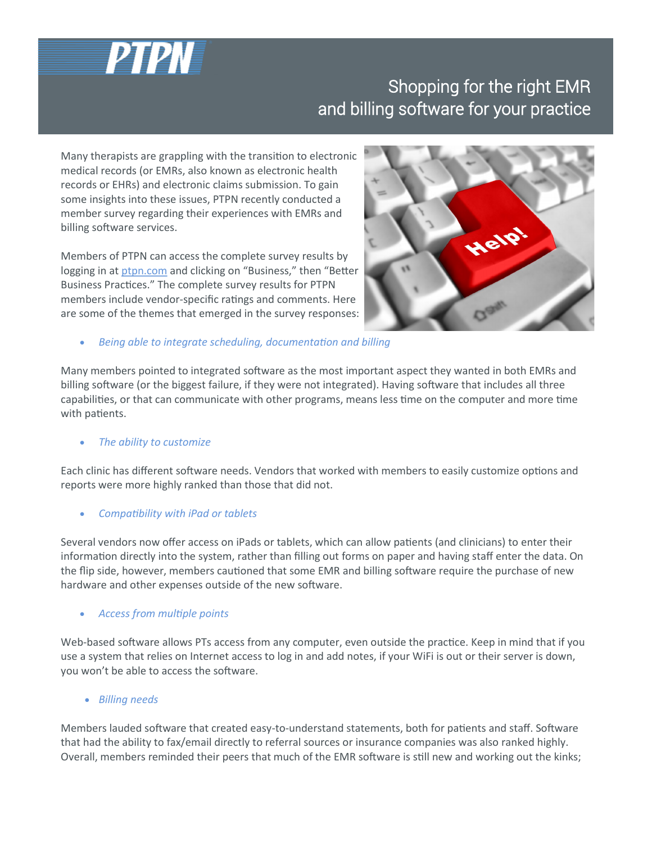

# Shopping for the right EMR and billing software for your practice

Many therapists are grappling with the transition to electronic medical records (or EMRs, also known as electronic health records or EHRs) and electronic claims submission. To gain some insights into these issues, PTPN recently conducted a member survey regarding their experiences with EMRs and billing software services.

Members of PTPN can access the complete survey results by logging in at [ptpn.com](http://www.ptpn.com) and clicking on "Business," then "Better Business Practices." The complete survey results for PTPN members include vendor-specific ratings and comments. Here are some of the themes that emerged in the survey responses:



• *Being able to integrate scheduling, documentation and billing*

Many members pointed to integrated software as the most important aspect they wanted in both EMRs and billing software (or the biggest failure, if they were not integrated). Having software that includes all three capabilities, or that can communicate with other programs, means less time on the computer and more time with patients.

## • *The ability to customize*

Each clinic has different software needs. Vendors that worked with members to easily customize options and reports were more highly ranked than those that did not.

## • *Compatibility with iPad or tablets*

Several vendors now offer access on iPads or tablets, which can allow patients (and clinicians) to enter their information directly into the system, rather than filling out forms on paper and having staff enter the data. On the flip side, however, members cautioned that some EMR and billing software require the purchase of new hardware and other expenses outside of the new software.

## • *Access from multiple points*

Web-based software allows PTs access from any computer, even outside the practice. Keep in mind that if you use a system that relies on Internet access to log in and add notes, if your WiFi is out or their server is down, you won't be able to access the software.

## • *Billing needs*

Members lauded software that created easy-to-understand statements, both for patients and staff. Software that had the ability to fax/email directly to referral sources or insurance companies was also ranked highly. Overall, members reminded their peers that much of the EMR software is still new and working out the kinks;